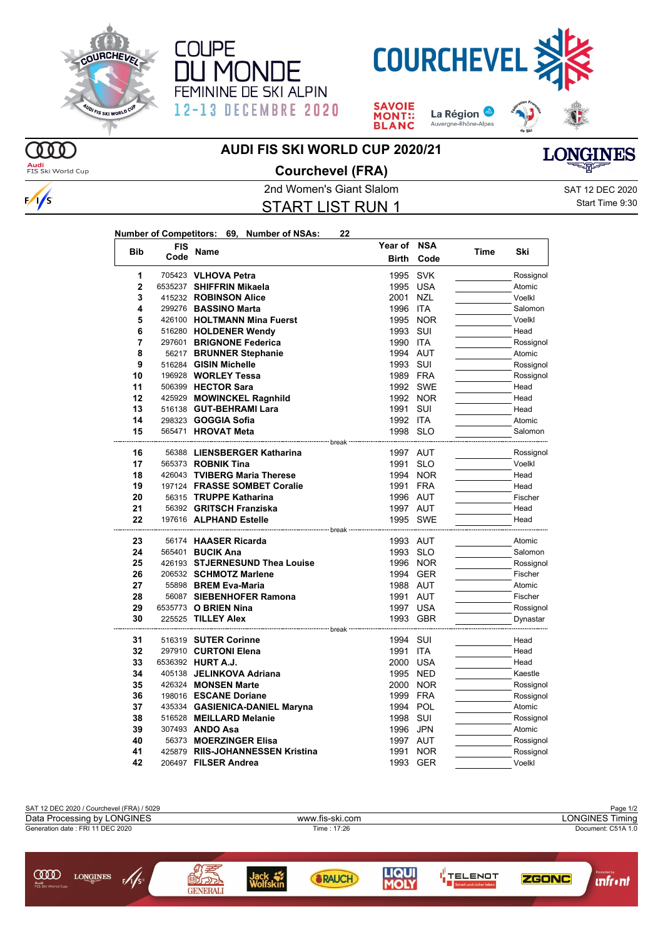





**SAVOIE** La Région **MONT::**<br>BLANC Auvergne-Rhône-Alpes

**Year of NSA**



## **AUDI FIS SKI WORLD CUP 2020/21**



 $\frac{1}{s}$ 

## **Courchevel (FRA)**



2nd Women's Giant Slalom Sate of the SAT 12 DEC 2020 START LIST RUN 1

Start Time 9:30

| Number of Competitors: 69, Number of NSAs: |  | 22 |
|--------------------------------------------|--|----|
|                                            |  |    |

| <b>Bib</b>     | FIS  | Name                                                     | Year of          | <b>NSA</b> | Time | Ski                 |
|----------------|------|----------------------------------------------------------|------------------|------------|------|---------------------|
|                | Code |                                                          | <b>Birth</b>     | Code       |      |                     |
| 1              |      | 705423 VLHOVA Petra                                      | 1995             | <b>SVK</b> |      | Rossignol           |
| $\overline{2}$ |      | 6535237 SHIFFRIN Mikaela                                 | 1995             | <b>USA</b> |      | Atomic              |
| 3              |      | 415232 ROBINSON Alice                                    | 2001             | <b>NZL</b> |      | Voelkl              |
| 4              |      | 299276 BASSINO Marta                                     | 1996 ITA         |            |      | Salomon             |
| 5              |      | 426100 HOLTMANN Mina Fuerst                              |                  | 1995 NOR   |      | Voelkl              |
| 6              |      | 516280 HOLDENER Wendy                                    | 1993 SUI         |            |      | Head                |
| $\overline{7}$ |      | 297601 BRIGNONE Federica                                 | 1990 ITA         |            |      | Rossignol           |
| 8              |      | 56217 BRUNNER Stephanie                                  | 1994 AUT         |            |      | Atomic              |
| 9              |      | 516284 GISIN Michelle                                    | 1993 SUI         |            |      | Rossignol           |
| 10             |      | 196928 WORLEY Tessa                                      | 1989 FRA         |            |      | Rossignol           |
| 11             |      | 506399 HECTOR Sara                                       |                  | 1992 SWE   |      | Head                |
| 12             |      | 425929 MOWINCKEL Ragnhild                                |                  | 1992 NOR   |      | Head                |
| 13             |      | 516138 GUT-BEHRAMI Lara                                  | 1991             | SUI        |      | Head                |
| 14             |      | 298323 <b>GOGGIA Sofia</b>                               | 1992 ITA         |            |      | Atomic              |
| 15             |      | 565471 <b>HROVAT Meta</b>                                | 1998 SLO         |            |      | Salomon             |
|                |      | -------------- break                                     |                  |            |      |                     |
| 16<br>17       |      | 56388 LIENSBERGER Katharina<br>565373 <b>ROBNIK Tina</b> | 1997 AUT         |            |      | Rossignol<br>Voelkl |
| 18             |      |                                                          | 1991 SLO         |            |      | Head                |
|                |      | 426043 TVIBERG Maria Therese                             |                  | 1994 NOR   |      |                     |
| 19<br>20       |      | 197124 FRASSE SOMBET Coralie                             | 1991 FRA         |            |      | Head                |
| 21             |      | 56315 TRUPPE Katharina                                   | 1996 AUT         |            |      | Fischer             |
|                |      | 56392 GRITSCH Franziska                                  | 1997 AUT         |            |      | Head                |
| 22             |      | 197616 ALPHAND Estelle                                   |                  | 1995 SWE   |      | Head                |
| 23             |      | 56174 HAASER Ricarda                                     | 1993 AUT         |            |      | Atomic              |
| 24             |      | 565401 <b>BUCIK Ana</b>                                  | 1993 SLO         |            |      | Salomon             |
| 25             |      | 426193 STJERNESUND Thea Louise                           |                  | 1996 NOR   |      | Rossignol           |
| 26             |      | 206532 SCHMOTZ Marlene                                   |                  | 1994 GER   |      | Fischer             |
| 27             |      | 55898 BREM Eva-Maria                                     | 1988 AUT         |            |      | Atomic              |
| 28             |      | 56087 SIEBENHOFER Ramona                                 | 1991 AUT         |            |      | Fischer             |
| 29             |      | 6535773 O BRIEN Nina                                     | 1997 USA         |            |      | Rossignol           |
| 30             |      | 225525 TILLEY Alex                                       |                  | 1993 GBR   |      | Dynastar            |
|                |      |                                                          |                  |            |      |                     |
| 31             |      | 516319 SUTER Corinne                                     | 1994 SUI         |            |      | Head                |
| 32<br>33       |      | 297910 CURTONI Elena                                     | 1991<br>2000 USA | <b>ITA</b> |      | Head<br>Head        |
|                |      | 6536392 HURT A.J.                                        |                  |            |      |                     |
| 34             |      | 405138 JELINKOVA Adriana                                 | 1995 NED         |            |      | Kaestle             |
| 35             |      | 426324 MONSEN Marte                                      | 2000             | <b>NOR</b> |      | Rossignol           |
| 36             |      | 198016 ESCANE Doriane                                    | 1999 FRA         |            |      | Rossignol           |
| 37             |      | 435334 GASIENICA-DANIEL Maryna                           | 1994 POL         |            |      | Atomic              |
| 38             |      | 516528 MEILLARD Melanie                                  | 1998             | SUI        |      | Rossignol           |
| 39             |      | 307493 ANDO Asa                                          | 1996             | <b>JPN</b> |      | Atomic              |
| 40             |      | 56373 MOERZINGER Elisa                                   | 1997 AUT         |            |      | Rossignol           |
| 41             |      | 425879 RIIS-JOHANNESSEN Kristina                         | 1991             | <b>NOR</b> |      | Rossignol           |
| 42             |      | 206497 FILSER Andrea                                     | 1993             | GER        |      | Voelkl              |